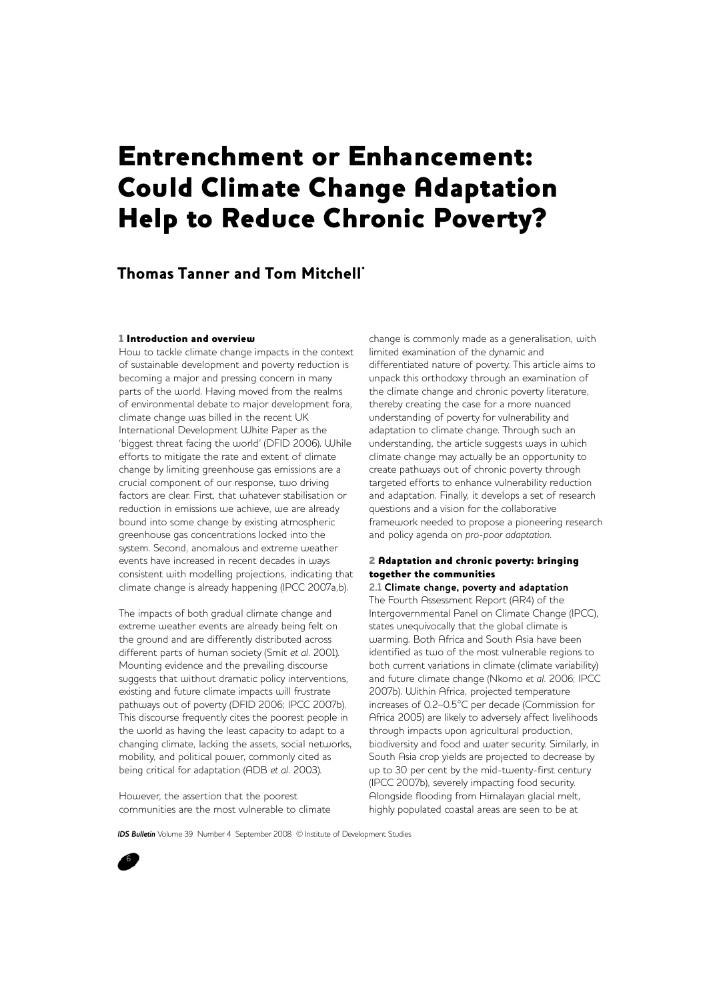# Entrenchment or Enhancement: Could Climate Change Adaptation Help to Reduce Chronic Poverty?

# Thomas Tanner and Tom Mitchell\*

#### 1 Introduction and overview

How to tackle climate change impacts in the context of sustainable development and poverty reduction is becoming a major and pressing concern in many parts of the world. Having moved from the realms of environmental debate to major development fora, climate change was billed in the recent UK International Development White Paper as the 'biggest threat facing the world' (DFID 2006). While efforts to mitigate the rate and extent of climate change by limiting greenhouse gas emissions are a crucial component of our response, two driving factors are clear. First, that whatever stabilisation or reduction in emissions we achieve, we are already bound into some change by existing atmospheric greenhouse gas concentrations locked into the system. Second, anomalous and extreme weather events have increased in recent decades in ways consistent with modelling projections, indicating that climate change is already happening (IPCC 2007a,b).

The impacts of both gradual climate change and extreme weather events are already being felt on the ground and are differently distributed across different parts of human society (Smit *et al.* 2001). Mounting evidence and the prevailing discourse suggests that without dramatic policy interventions, existing and future climate impacts will frustrate pathways out of poverty (DFID 2006; IPCC 2007b). This discourse frequently cites the poorest people in the world as having the least capacity to adapt to a changing climate, lacking the assets, social networks, mobility, and political power, commonly cited as being critical for adaptation (ADB *et al.* 2003).

However, the assertion that the poorest communities are the most vulnerable to climate

change is commonly made as a generalisation, with limited examination of the dynamic and differentiated nature of poverty. This article aims to unpack this orthodoxy through an examination of the climate change and chronic poverty literature, thereby creating the case for a more nuanced understanding of poverty for vulnerability and adaptation to climate change. Through such an understanding, the article suggests ways in which climate change may actually be an opportunity to create pathways out of chronic poverty through targeted efforts to enhance vulnerability reduction and adaptation. Finally, it develops a set of research questions and a vision for the collaborative framework needed to propose a pioneering research and policy agenda on *pro-poor adaptation*.

# 2 Adaptation and chronic poverty: bringing together the communities

**2.1 Climate change, poverty and adaptation** The Fourth Assessment Report (AR4) of the Intergovernmental Panel on Climate Change (IPCC), states unequivocally that the global climate is warming. Both Africa and South Asia have been identified as two of the most vulnerable regions to both current variations in climate (climate variability) and future climate change (Nkomo *et al.* 2006; IPCC 2007b). Within Africa, projected temperature increases of 0.2–0.5°C per decade (Commission for Africa 2005) are likely to adversely affect livelihoods through impacts upon agricultural production, biodiversity and food and water security. Similarly, in South Asia crop yields are projected to decrease by up to 30 per cent by the mid-twenty-first century (IPCC 2007b), severely impacting food security. Alongside flooding from Himalayan glacial melt, highly populated coastal areas are seen to be at

*IDS Bulletin* Volume 39 Number 4 September 2008 © Institute of Development Studies

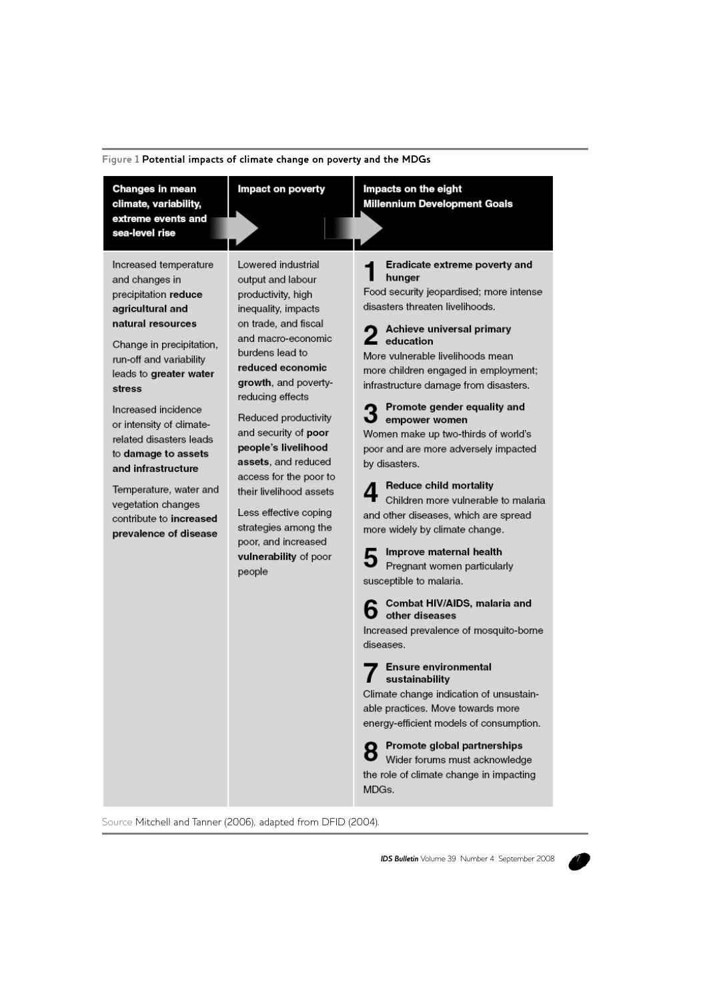| Figure 1 Potential impacts of climate change on poverty and the MDGs |  |  |  |  |
|----------------------------------------------------------------------|--|--|--|--|
|----------------------------------------------------------------------|--|--|--|--|

| Changes in mean<br>climate, variability,<br>extreme events and                                                                                                                                                                                                                                                                                                                                                                     | Impact on poverty                                                                                                                                                                                                                                                                                                                                                                                                                                                                   | Impacts on the eight<br><b>Millennium Development Goals</b>                                                                                                                                                                                                                                                                                                                                                                                                                                                                                                                                                                                                                                                                                                                                                                                                                                                                                                                                                                                                                                           |
|------------------------------------------------------------------------------------------------------------------------------------------------------------------------------------------------------------------------------------------------------------------------------------------------------------------------------------------------------------------------------------------------------------------------------------|-------------------------------------------------------------------------------------------------------------------------------------------------------------------------------------------------------------------------------------------------------------------------------------------------------------------------------------------------------------------------------------------------------------------------------------------------------------------------------------|-------------------------------------------------------------------------------------------------------------------------------------------------------------------------------------------------------------------------------------------------------------------------------------------------------------------------------------------------------------------------------------------------------------------------------------------------------------------------------------------------------------------------------------------------------------------------------------------------------------------------------------------------------------------------------------------------------------------------------------------------------------------------------------------------------------------------------------------------------------------------------------------------------------------------------------------------------------------------------------------------------------------------------------------------------------------------------------------------------|
| sea-level rise                                                                                                                                                                                                                                                                                                                                                                                                                     |                                                                                                                                                                                                                                                                                                                                                                                                                                                                                     |                                                                                                                                                                                                                                                                                                                                                                                                                                                                                                                                                                                                                                                                                                                                                                                                                                                                                                                                                                                                                                                                                                       |
| Increased temperature<br>and changes in<br>precipitation reduce<br>agricultural and<br>natural resources<br>Change in precipitation,<br>run-off and variability<br>leads to greater water<br>stress<br>Increased incidence<br>or intensity of climate-<br>related disasters leads<br>to damage to assets<br>and infrastructure<br>Temperature, water and<br>vegetation changes<br>contribute to increased<br>prevalence of disease | Lowered industrial<br>output and labour<br>productivity, high<br>inequality, impacts<br>on trade, and fiscal<br>and macro-economic<br>burdens lead to<br>reduced economic<br>growth, and poverty-<br>reducing effects<br>Reduced productivity<br>and security of poor<br>people's livelihood<br>assets, and reduced<br>access for the poor to<br>their livelihood assets<br>Less effective coping<br>strategies among the<br>poor, and increased<br>vulnerability of poor<br>people | Eradicate extreme poverty and<br>hunger<br>Food security jeopardised; more intense<br>disasters threaten livelihoods.<br>Achieve universal primary<br>$\blacktriangle$ education<br>More vulnerable livelihoods mean<br>more children engaged in employment;<br>infrastructure damage from disasters.<br>Promote gender equality and<br>empower women<br>Women make up two-thirds of world's<br>poor and are more adversely impacted<br>by disasters.<br><b>Reduce child mortality</b><br>Children more vulnerable to malaria<br>and other diseases, which are spread<br>more widely by climate change.<br>Improve maternal health<br>Pregnant women particularly<br>susceptible to malaria.<br>Combat HIV/AIDS, malaria and<br>other diseases<br>Increased prevalence of mosquito-borne<br>diseases.<br><b>Ensure environmental</b><br>sustainability<br>Climate change indication of unsustain-<br>able practices. Move towards more<br>energy-efficient models of consumption.<br>Promote global partnerships<br>Wider forums must acknowledge<br>the role of climate change in impacting<br>MDGs. |

Source Mitchell and Tanner (2006), adapted from DFID (2004).

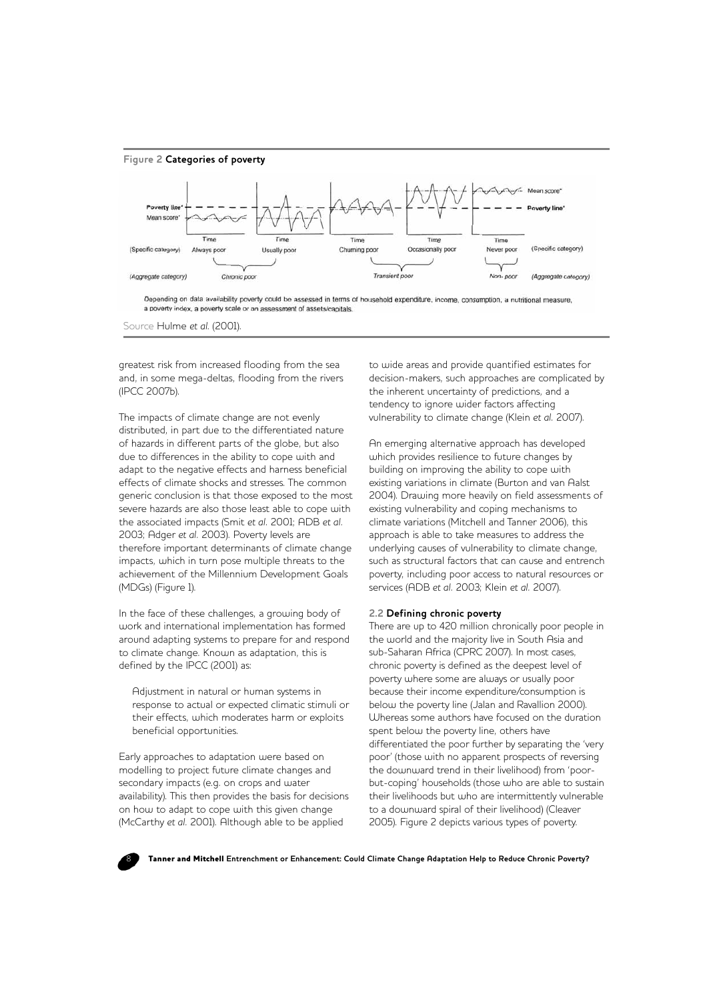

Source Hulme *et al*. (2001).

greatest risk from increased flooding from the sea and, in some mega-deltas, flooding from the rivers (IPCC 2007b).

The impacts of climate change are not evenly distributed, in part due to the differentiated nature of hazards in different parts of the globe, but also due to differences in the ability to cope with and adapt to the negative effects and harness beneficial effects of climate shocks and stresses. The common generic conclusion is that those exposed to the most severe hazards are also those least able to cope with the associated impacts (Smit *et al.* 2001; ADB *et al.* 2003; Adger *et al.* 2003). Poverty levels are therefore important determinants of climate change impacts, which in turn pose multiple threats to the achievement of the Millennium Development Goals (MDGs) (Figure 1).

In the face of these challenges, a growing body of work and international implementation has formed around adapting systems to prepare for and respond to climate change. Known as adaptation, this is defined by the IPCC (2001) as:

Adjustment in natural or human systems in response to actual or expected climatic stimuli or their effects, which moderates harm or exploits beneficial opportunities.

Early approaches to adaptation were based on modelling to project future climate changes and secondary impacts (e.g. on crops and water availability). This then provides the basis for decisions on how to adapt to cope with this given change (McCarthy *et al.* 2001). Although able to be applied

to wide areas and provide quantified estimates for decision-makers, such approaches are complicated by the inherent uncertainty of predictions, and a tendency to ignore wider factors affecting vulnerability to climate change (Klein *et al.* 2007).

An emerging alternative approach has developed which provides resilience to future changes by building on improving the ability to cope with existing variations in climate (Burton and van Aalst 2004). Drawing more heavily on field assessments of existing vulnerability and coping mechanisms to climate variations (Mitchell and Tanner 2006), this approach is able to take measures to address the underlying causes of vulnerability to climate change, such as structural factors that can cause and entrench poverty, including poor access to natural resources or services (ADB *et al.* 2003; Klein *et al.* 2007).

#### **2.2 Defining chronic poverty**

There are up to 420 million chronically poor people in the world and the majority live in South Asia and sub-Saharan Africa (CPRC 2007). In most cases, chronic poverty is defined as the deepest level of poverty where some are always or usually poor because their income expenditure/consumption is below the poverty line (Jalan and Ravallion 2000). Whereas some authors have focused on the duration spent below the poverty line, others have differentiated the poor further by separating the 'very poor' (those with no apparent prospects of reversing the downward trend in their livelihood) from 'poorbut-coping' households (those who are able to sustain their livelihoods but who are intermittently vulnerable to a downward spiral of their livelihood) (Cleaver 2005). Figure 2 depicts various types of poverty.

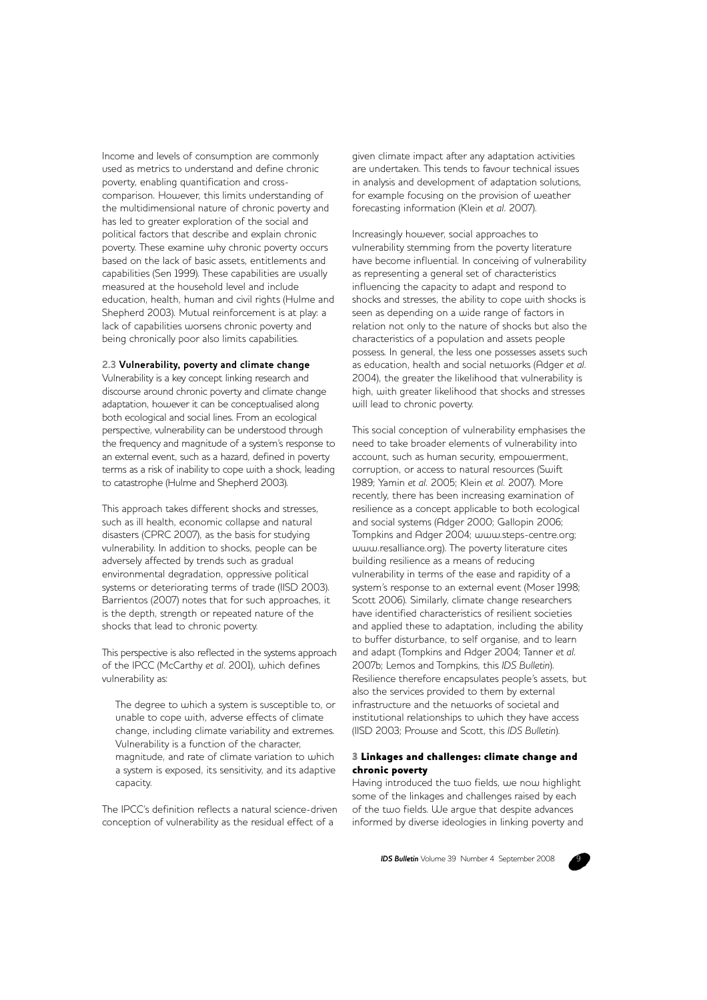Income and levels of consumption are commonly used as metrics to understand and define chronic poverty, enabling quantification and crosscomparison. However, this limits understanding of the multidimensional nature of chronic poverty and has led to greater exploration of the social and political factors that describe and explain chronic poverty. These examine why chronic poverty occurs based on the lack of basic assets, entitlements and capabilities (Sen 1999). These capabilities are usually measured at the household level and include education, health, human and civil rights (Hulme and Shepherd 2003). Mutual reinforcement is at play: a lack of capabilities worsens chronic poverty and being chronically poor also limits capabilities.

#### **2.3 Vulnerability, poverty and climate change**

Vulnerability is a key concept linking research and discourse around chronic poverty and climate change adaptation, however it can be conceptualised along both ecological and social lines. From an ecological perspective, vulnerability can be understood through the frequency and magnitude of a system's response to an external event, such as a hazard, defined in poverty terms as a risk of inability to cope with a shock, leading to catastrophe (Hulme and Shepherd 2003).

This approach takes different shocks and stresses, such as ill health, economic collapse and natural disasters (CPRC 2007), as the basis for studying vulnerability. In addition to shocks, people can be adversely affected by trends such as gradual environmental degradation, oppressive political systems or deteriorating terms of trade (IISD 2003). Barrientos (2007) notes that for such approaches, it is the depth, strength or repeated nature of the shocks that lead to chronic poverty.

This perspective is also reflected in the systems approach of the IPCC (McCarthy *et al.* 2001), which defines vulnerability as:

The degree to which a system is susceptible to, or unable to cope with, adverse effects of climate change, including climate variability and extremes. Vulnerability is a function of the character, magnitude, and rate of climate variation to which a system is exposed, its sensitivity, and its adaptive capacity.

The IPCC's definition reflects a natural science-driven conception of vulnerability as the residual effect of a

given climate impact after any adaptation activities are undertaken. This tends to favour technical issues in analysis and development of adaptation solutions, for example focusing on the provision of weather forecasting information (Klein *et al.* 2007).

Increasingly however, social approaches to vulnerability stemming from the poverty literature have become influential. In conceiving of vulnerability as representing a general set of characteristics influencing the capacity to adapt and respond to shocks and stresses, the ability to cope with shocks is seen as depending on a wide range of factors in relation not only to the nature of shocks but also the characteristics of a population and assets people possess. In general, the less one possesses assets such as education, health and social networks (Adger *et al.* 2004), the greater the likelihood that vulnerability is high, with greater likelihood that shocks and stresses will lead to chronic poverty.

This social conception of vulnerability emphasises the need to take broader elements of vulnerability into account, such as human security, empowerment, corruption, or access to natural resources (Swift 1989; Yamin *et al.* 2005; Klein *et al.* 2007). More recently, there has been increasing examination of resilience as a concept applicable to both ecological and social systems (Adger 2000; Gallopin 2006; Tompkins and Adger 2004; www.steps-centre.org; www.resalliance.org). The poverty literature cites building resilience as a means of reducing vulnerability in terms of the ease and rapidity of a system's response to an external event (Moser 1998; Scott 2006). Similarly, climate change researchers have identified characteristics of resilient societies and applied these to adaptation, including the ability to buffer disturbance, to self organise, and to learn and adapt (Tompkins and Adger 2004; Tanner *et al.* 2007b; Lemos and Tompkins, this *IDS Bulletin*). Resilience therefore encapsulates people's assets, but also the services provided to them by external infrastructure and the networks of societal and institutional relationships to which they have access (IISD 2003; Prowse and Scott, this *IDS Bulletin*).

# 3 Linkages and challenges: climate change and chronic poverty

Having introduced the two fields, we now highlight some of the linkages and challenges raised by each of the two fields. We argue that despite advances informed by diverse ideologies in linking poverty and

**IDS Bulletin** Volume 39 Number 4 September 2008

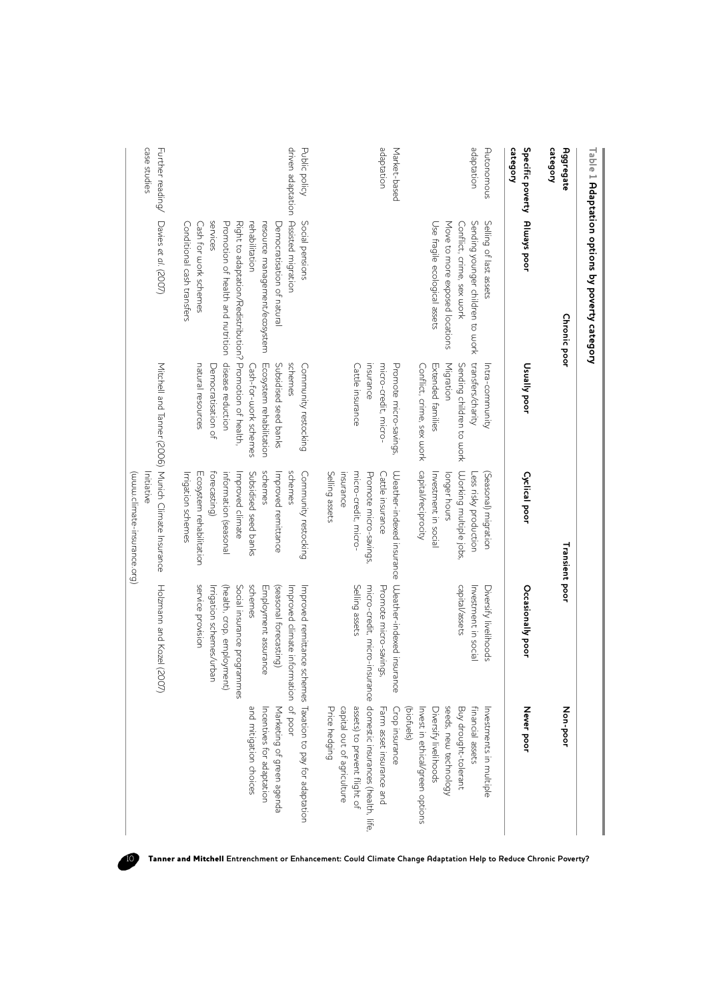|                                          | Table 1 Adaptation options by poverty category |                           |                                                     |                                                     |                                             |
|------------------------------------------|------------------------------------------------|---------------------------|-----------------------------------------------------|-----------------------------------------------------|---------------------------------------------|
| category<br><b>Aggregate</b>             | <b>Chronic poor</b>                            |                           | Transient poor                                      |                                                     | Non-poor                                    |
| Specific poverty Always poor<br>category |                                                | <b>Usually poor</b>       | <b>Cyclical poor</b>                                | Occasionally poor                                   | Never poor                                  |
| Autonomous                               | Selling of last assets                         | Intra-community           | (Seasonal) migration                                | Diversify livelihoods                               | Investments in multiple                     |
| adaptation                               | Sending younger children to work               | transfers/charity         | Less risky production                               | Investment in social                                | financial assets                            |
|                                          | Conflict, crime, sex work                      | Sending children to work  | Working multiple jobs,                              | capital/assets                                      | Buy drought-tolerant                        |
|                                          | Move to more exposed locations                 | Migration                 | longer hours                                        |                                                     | seeds, new technology                       |
|                                          | Use fragile ecological assets                  | Extended families         | Investment in social                                |                                                     | Diversify livelihoods                       |
|                                          |                                                | Conflict, crime, sex work | doital/reciprocity                                  |                                                     | Invest in ethical/green options             |
|                                          |                                                |                           |                                                     |                                                     | (biofuels)                                  |
| Market-based                             |                                                | Promote micro-savings,    |                                                     | Weather-indexed insurance Weather-indexed insurance | Crop insurance                              |
| adaptation                               |                                                | micro-credit, micro-      | Cattle insurance                                    | Promote micro-savings,                              | Farm asset insurance and                    |
|                                          |                                                | insurance                 | Promote micro-savings,                              | micro-credit, micro-i                               | nsurance domestic insurances (health, life, |
|                                          |                                                | Cattle insurance          | micro-credit, micro-                                | Selling assets                                      | assets) to prevent flight of                |
|                                          |                                                |                           | insurance                                           |                                                     | capital out of agriculture                  |
|                                          |                                                |                           | Selling assets                                      |                                                     | Price hedging                               |
| Public policy                            | Social pensions                                | Community restocking      | Community restocking                                | Improved remittance                                 | schemes Taxation to pay for adaptation      |
|                                          | driven adaptation Assisted migration           | schemes                   | schemes                                             | Improved climate information of poor                |                                             |
|                                          | Democratisation of natural                     | Subsidised seed banks     | Improved remittance                                 | (seasonal forecasting)                              | Marketing of green agenda                   |
|                                          | resource management/ecosystem                  | Ecosystem rehabilitation  | schemes                                             | Employment assurance                                | Incentives for adaptation                   |
|                                          | rehabilitation                                 | Cash-for-work schemes     | Subsidised seed banks                               | schemes                                             | and mitigation choices                      |
|                                          | Right to adaptation/Redistripcion of health.   |                           | Improved climate                                    | Social insurance programmes                         |                                             |
|                                          | Promotion of health and nutrition              | disease reduction         | information (seasonal                               | (health, crop, employment)                          |                                             |
|                                          | services                                       | Democratisation of        | forecasting)                                        | Irrigation schemes/urban                            |                                             |
|                                          | Cash for work schemes                          | natural resources         | Ecosystem rehabilitation                            | service provision                                   |                                             |
|                                          | Conditional cash transfers                     |                           | Irrigation schemes                                  |                                                     |                                             |
| Further reading/                         | Davies et al. (2007)                           |                           | Mitchell and Tanner (2006) Munich Climate Insurance | Holzmann and Kozel<br>(2007)                        |                                             |
| case studies                             |                                                |                           | Initiative                                          |                                                     |                                             |
|                                          |                                                |                           | (www.climate-insurance.org)                         |                                                     |                                             |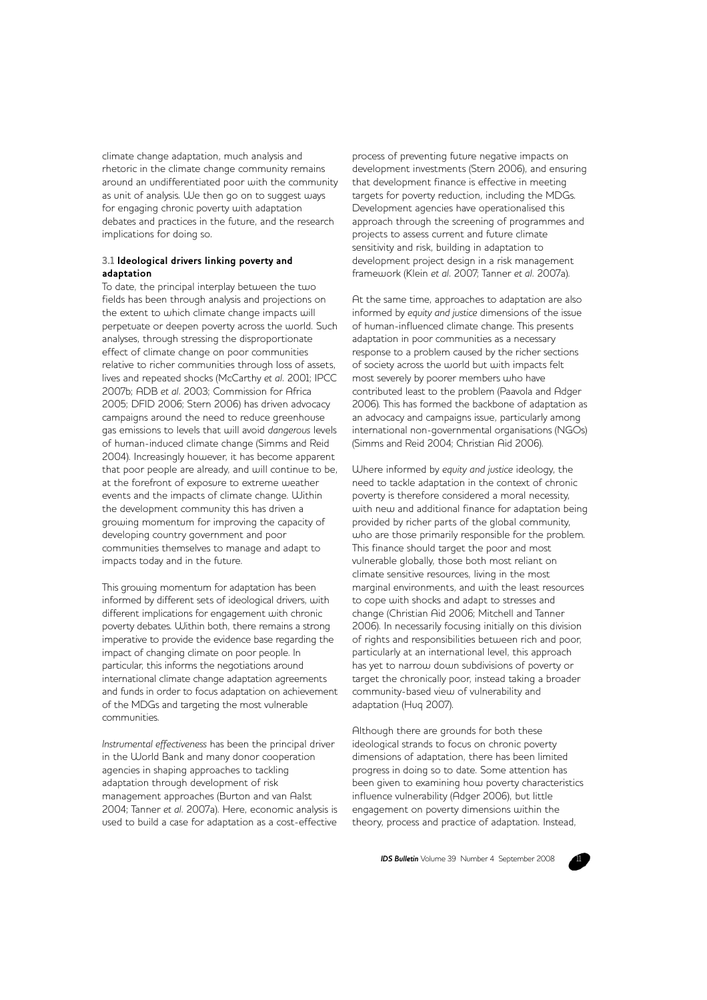climate change adaptation, much analysis and rhetoric in the climate change community remains around an undifferentiated poor with the community as unit of analysis. We then go on to suggest ways for engaging chronic poverty with adaptation debates and practices in the future, and the research implications for doing so.

#### **3.1 Ideological drivers linking poverty and adaptation**

To date, the principal interplay between the two fields has been through analysis and projections on the extent to which climate change impacts will perpetuate or deepen poverty across the world. Such analyses, through stressing the disproportionate effect of climate change on poor communities relative to richer communities through loss of assets, lives and repeated shocks (McCarthy *et al.* 2001; IPCC 2007b; ADB *et al.* 2003; Commission for Africa 2005; DFID 2006; Stern 2006) has driven advocacy campaigns around the need to reduce greenhouse gas emissions to levels that will avoid *dangerous* levels of human-induced climate change (Simms and Reid 2004). Increasingly however, it has become apparent that poor people are already, and will continue to be, at the forefront of exposure to extreme weather events and the impacts of climate change. Within the development community this has driven a growing momentum for improving the capacity of developing country government and poor communities themselves to manage and adapt to impacts today and in the future.

This growing momentum for adaptation has been informed by different sets of ideological drivers, with different implications for engagement with chronic poverty debates. Within both, there remains a strong imperative to provide the evidence base regarding the impact of changing climate on poor people. In particular, this informs the negotiations around international climate change adaptation agreements and funds in order to focus adaptation on achievement of the MDGs and targeting the most vulnerable communities.

*Instrumental effectiveness* has been the principal driver in the World Bank and many donor cooperation agencies in shaping approaches to tackling adaptation through development of risk management approaches (Burton and van Aalst 2004; Tanner *et al.* 2007a). Here, economic analysis is used to build a case for adaptation as a cost-effective

process of preventing future negative impacts on development investments (Stern 2006), and ensuring that development finance is effective in meeting targets for poverty reduction, including the MDGs. Development agencies have operationalised this approach through the screening of programmes and projects to assess current and future climate sensitivity and risk, building in adaptation to development project design in a risk management framework (Klein *et al.* 2007; Tanner *et al.* 2007a).

At the same time, approaches to adaptation are also informed by *equity and justice* dimensions of the issue of human-influenced climate change. This presents adaptation in poor communities as a necessary response to a problem caused by the richer sections of society across the world but with impacts felt most severely by poorer members who have contributed least to the problem (Paavola and Adger 2006). This has formed the backbone of adaptation as an advocacy and campaigns issue, particularly among international non-governmental organisations (NGOs) (Simms and Reid 2004; Christian Aid 2006).

Where informed by *equity and justice* ideology, the need to tackle adaptation in the context of chronic poverty is therefore considered a moral necessity, with new and additional finance for adaptation being provided by richer parts of the global community, who are those primarily responsible for the problem. This finance should target the poor and most vulnerable globally, those both most reliant on climate sensitive resources, living in the most marginal environments, and with the least resources to cope with shocks and adapt to stresses and change (Christian Aid 2006; Mitchell and Tanner 2006). In necessarily focusing initially on this division of rights and responsibilities between rich and poor, particularly at an international level, this approach has yet to narrow down subdivisions of poverty or target the chronically poor, instead taking a broader community-based view of vulnerability and adaptation (Huq 2007).

Although there are grounds for both these ideological strands to focus on chronic poverty dimensions of adaptation, there has been limited progress in doing so to date. Some attention has been given to examining how poverty characteristics influence vulnerability (Adger 2006), but little engagement on poverty dimensions within the theory, process and practice of adaptation. Instead,

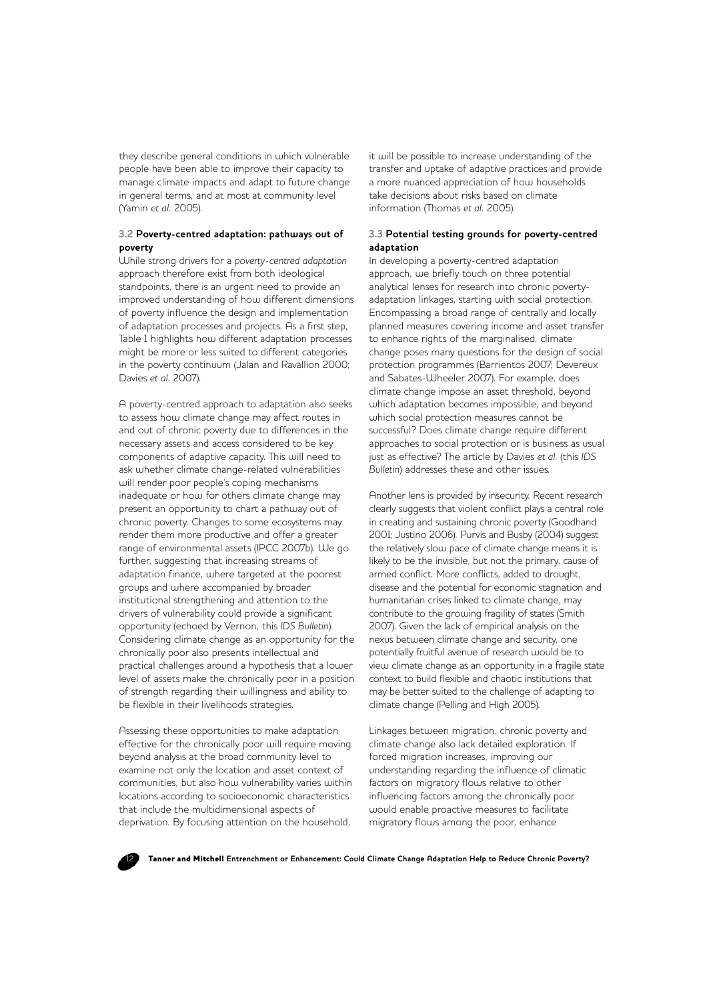they describe general conditions in which vulnerable people have been able to improve their capacity to manage climate impacts and adapt to future change in general terms, and at most at community level (Yamin *et al.* 2005).

## **3.2 Poverty-centred adaptation: pathways out of poverty**

While strong drivers for a *poverty-centred adaptation* approach therefore exist from both ideological standpoints, there is an urgent need to provide an improved understanding of how different dimensions of poverty influence the design and implementation of adaptation processes and projects. As a first step, Table 1 highlights how different adaptation processes might be more or less suited to different categories in the poverty continuum (Jalan and Ravallion 2000; Davies *et al.* 2007).

A poverty-centred approach to adaptation also seeks to assess how climate change may affect routes in and out of chronic poverty due to differences in the necessary assets and access considered to be key components of adaptive capacity. This will need to ask whether climate change-related vulnerabilities will render poor people's coping mechanisms inadequate or how for others climate change may present an opportunity to chart a pathway out of chronic poverty. Changes to some ecosystems may render them more productive and offer a greater range of environmental assets (IPCC 2007b). We go further, suggesting that increasing streams of adaptation finance, where targeted at the poorest groups and where accompanied by broader institutional strengthening and attention to the drivers of vulnerability could provide a significant opportunity (echoed by Vernon, this *IDS Bulletin*). Considering climate change as an opportunity for the chronically poor also presents intellectual and practical challenges around a hypothesis that a lower level of assets make the chronically poor in a position of strength regarding their willingness and ability to be flexible in their livelihoods strategies.

Assessing these opportunities to make adaptation effective for the chronically poor will require moving beyond analysis at the broad community level to examine not only the location and asset context of communities, but also how vulnerability varies within locations according to socioeconomic characteristics that include the multidimensional aspects of deprivation. By focusing attention on the household,

it will be possible to increase understanding of the transfer and uptake of adaptive practices and provide a more nuanced appreciation of how households take decisions about risks based on climate information (Thomas *et al.* 2005).

#### **3.3 Potential testing grounds for poverty-centred adaptation**

In developing a poverty-centred adaptation approach, we briefly touch on three potential analytical lenses for research into chronic povertyadaptation linkages, starting with social protection. Encompassing a broad range of centrally and locally planned measures covering income and asset transfer to enhance rights of the marginalised, climate change poses many questions for the design of social protection programmes (Barrientos 2007; Devereux and Sabates-Wheeler 2007). For example, does climate change impose an asset threshold, beyond which adaptation becomes impossible, and beyond which social protection measures cannot be successful? Does climate change require different approaches to social protection or is business as usual just as effective? The article by Davies *et al.* (this *IDS Bulletin*) addresses these and other issues.

Another lens is provided by insecurity. Recent research clearly suggests that violent conflict plays a central role in creating and sustaining chronic poverty (Goodhand 2001; Justino 2006). Purvis and Busby (2004) suggest the relatively slow pace of climate change means it is likely to be the invisible, but not the primary, cause of armed conflict. More conflicts, added to drought, disease and the potential for economic stagnation and humanitarian crises linked to climate change, may contribute to the growing fragility of states (Smith 2007). Given the lack of empirical analysis on the nexus between climate change and security, one potentially fruitful avenue of research would be to view climate change as an opportunity in a fragile state context to build flexible and chaotic institutions that may be better suited to the challenge of adapting to climate change (Pelling and High 2005).

Linkages between migration, chronic poverty and climate change also lack detailed exploration. If forced migration increases, improving our understanding regarding the influence of climatic factors on migratory flows relative to other influencing factors among the chronically poor would enable proactive measures to facilitate migratory flows among the poor, enhance

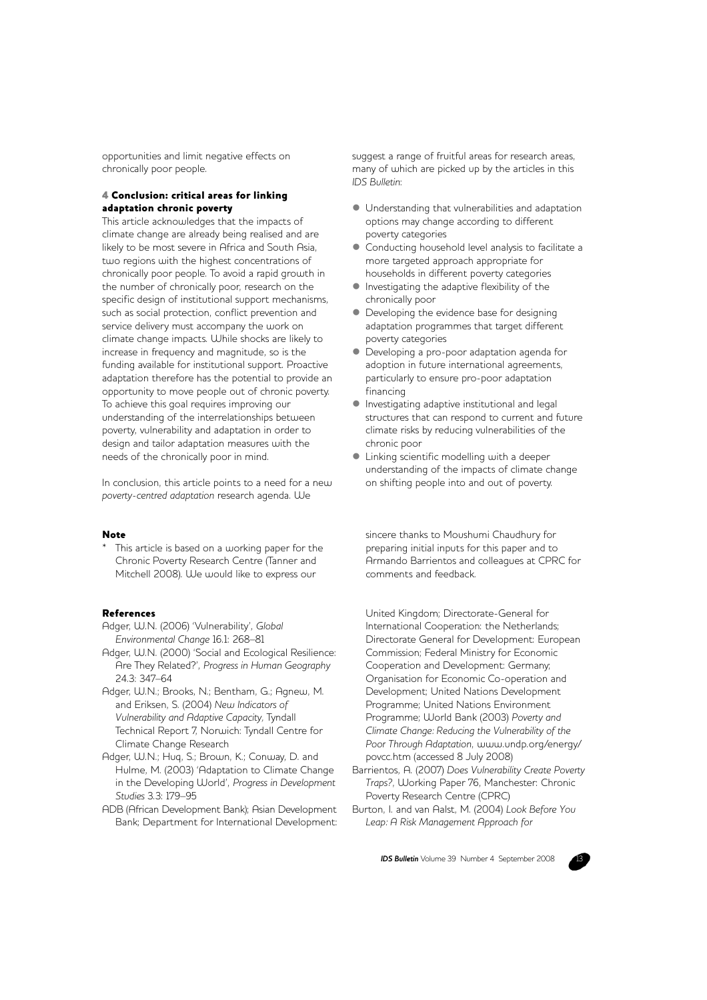opportunities and limit negative effects on chronically poor people.

# 4 Conclusion: critical areas for linking adaptation chronic poverty

This article acknowledges that the impacts of climate change are already being realised and are likely to be most severe in Africa and South Asia, two regions with the highest concentrations of chronically poor people. To avoid a rapid growth in the number of chronically poor, research on the specific design of institutional support mechanisms, such as social protection, conflict prevention and service delivery must accompany the work on climate change impacts. While shocks are likely to increase in frequency and magnitude, so is the funding available for institutional support. Proactive adaptation therefore has the potential to provide an opportunity to move people out of chronic poverty. To achieve this goal requires improving our understanding of the interrelationships between poverty, vulnerability and adaptation in order to design and tailor adaptation measures with the needs of the chronically poor in mind.

In conclusion, this article points to a need for a new *poverty-centred adaptation* research agenda. We

#### Note

This article is based on a working paper for the Chronic Poverty Research Centre (Tanner and Mitchell 2008). We would like to express our

#### References

- Adger, W.N. (2006) 'Vulnerability', *Global Environmental Change* 16.1: 268–81
- Adger, W.N. (2000) 'Social and Ecological Resilience: Are They Related?', *Progress in Human Geography* 24.3: 347–64
- Adger, W.N.; Brooks, N.; Bentham, G.; Agnew, M. and Eriksen, S. (2004) *New Indicators of Vulnerability and Adaptive Capacity,* Tyndall Technical Report 7, Norwich: Tyndall Centre for Climate Change Research
- Adger, W.N.; Huq, S.; Brown, K.; Conway, D. and Hulme, M. (2003) 'Adaptation to Climate Change in the Developing World', *Progress in Development Studies* 3.3: 179–95
- ADB (African Development Bank); Asian Development Bank; Department for International Development:

suggest a range of fruitful areas for research areas, many of which are picked up by the articles in this *IDS Bulletin*:

- $\bullet$  Understanding that vulnerabilities and adaptation options may change according to different poverty categories
- Conducting household level analysis to facilitate a more targeted approach appropriate for households in different poverty categories
- $\bullet$  Investigating the adaptive flexibility of the chronically poor
- Developing the evidence base for designing adaptation programmes that target different poverty categories
- $\bullet$  Developing a pro-poor adaptation agenda for adoption in future international agreements, particularly to ensure pro-poor adaptation financing
- $\bullet$  Investigating adaptive institutional and legal structures that can respond to current and future climate risks by reducing vulnerabilities of the chronic poor
- **Linking scientific modelling with a deeper** understanding of the impacts of climate change on shifting people into and out of poverty.

sincere thanks to Moushumi Chaudhury for preparing initial inputs for this paper and to Armando Barrientos and colleagues at CPRC for comments and feedback.

United Kingdom; Directorate-General for International Cooperation: the Netherlands; Directorate General for Development: European Commission; Federal Ministry for Economic Cooperation and Development: Germany; Organisation for Economic Co-operation and Development; United Nations Development Programme; United Nations Environment Programme; World Bank (2003) *Poverty and Climate Change: Reducing the Vulnerability of the Poor Through Adaptation*, www.undp.org/energy/ povcc.htm (accessed 8 July 2008)

- Barrientos, A. (2007) *Does Vulnerability Create Poverty Traps?*, Working Paper 76, Manchester: Chronic Poverty Research Centre (CPRC)
- Burton, I. and van Aalst, M. (2004) *Look Before You Leap: A Risk Management Approach for*

**IDS Bulletin** Volume 39 Number 4 September 2008

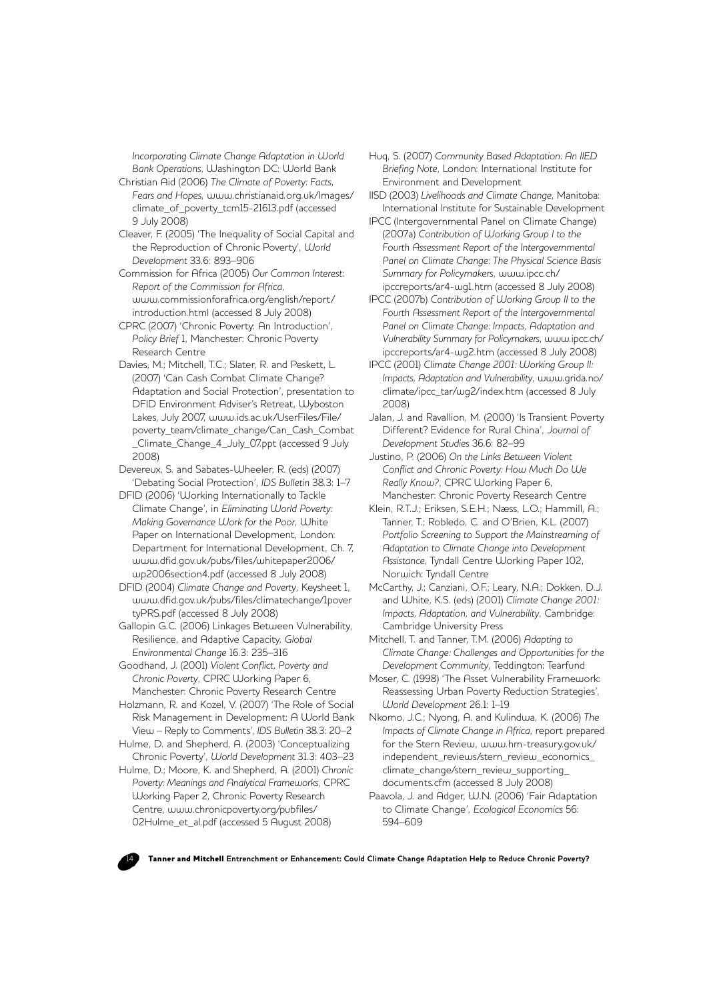*Incorporating Climate Change Adaptation in World Bank Operations*, Washington DC: World Bank

- Christian Aid (2006) *The Climate of Poverty: Facts, Fears and Hopes*, www.christianaid.org.uk/Images/ climate\_of\_poverty\_tcm15-21613.pdf (accessed 9 July 2008)
- Cleaver, F. (2005) 'The Inequality of Social Capital and the Reproduction of Chronic Poverty', *World Development* 33.6: 893–906
- Commission for Africa (2005) *Our Common Interest: Report of the Commission for Africa*, www.commissionforafrica.org/english/report/ introduction.html (accessed 8 July 2008)
- CPRC (2007) 'Chronic Poverty: An Introduction', *Policy Brief* 1, Manchester: Chronic Poverty Research Centre
- Davies, M.; Mitchell, T.C.; Slater, R. and Peskett, L. (2007) 'Can Cash Combat Climate Change? Adaptation and Social Protection', presentation to DFID Environment Adviser's Retreat, Wyboston Lakes, July 2007, www.ids.ac.uk/UserFiles/File/ poverty\_team/climate\_change/Can\_Cash\_Combat \_Climate\_Change\_4\_July\_07.ppt (accessed 9 July 2008)
- Devereux, S. and Sabates-Wheeler, R. (eds) (2007) 'Debating Social Protection', *IDS Bulletin* 38.3: 1–7
- DFID (2006) 'Working Internationally to Tackle Climate Change', in *Eliminating World Poverty: Making Governance Work for the Poor*, White Paper on International Development, London: Department for International Development, Ch. 7, www.dfid.gov.uk/pubs/files/whitepaper2006/ wp2006section4.pdf (accessed 8 July 2008)
- DFID (2004) *Climate Change and Poverty*, Keysheet 1, www.dfid.gov.uk/pubs/files/climatechange/1pover tyPRS.pdf (accessed 8 July 2008)
- Gallopin G.C. (2006) Linkages Between Vulnerability, Resilience, and Adaptive Capacity, *Global Environmental Change* 16.3: 235–316
- Goodhand, J. (2001) *Violent Conflict, Poverty and Chronic Poverty*, CPRC Working Paper 6, Manchester: Chronic Poverty Research Centre
- Holzmann, R. and Kozel, V. (2007) 'The Role of Social Risk Management in Development: A World Bank View – Reply to Comments', *IDS Bulletin* 38.3: 20–2
- Hulme, D. and Shepherd, A. (2003) 'Conceptualizing Chronic Poverty', *World Development* 31.3: 403–23
- Hulme, D.; Moore, K. and Shepherd, A. (2001) *Chronic Poverty: Meanings and Analytical Frameworks*, CPRC Working Paper 2, Chronic Poverty Research Centre, www.chronicpoverty.org/pubfiles/ 02Hulme\_et\_al.pdf (accessed 5 August 2008)
- Huq, S. (2007) *Community Based Adaptation: An IIED Briefing Note*, London: International Institute for Environment and Development
- IISD (2003) *Livelihoods and Climate Change*, Manitoba: International Institute for Sustainable Development
- IPCC (Intergovernmental Panel on Climate Change) (2007a) *Contribution of Working Group I to the Fourth Assessment Report of the Intergovernmental Panel on Climate Change: The Physical Science Basis Summary for Policymakers*, www.ipcc.ch/ ipccreports/ar4-wg1.htm (accessed 8 July 2008)
- IPCC (2007b) *Contribution of Working Group II to the Fourth Assessment Report of the Intergovernmental Panel on Climate Change: Impacts, Adaptation and Vulnerability Summary for Policymakers*, www.ipcc.ch/ ipccreports/ar4-wg2.htm (accessed 8 July 2008)
- IPCC (2001) *Climate Change 2001: Working Group II: Impacts, Adaptation and Vulnerability*, www.grida.no/ climate/ipcc\_tar/wg2/index.htm (accessed 8 July 2008)
- Jalan, J. and Ravallion, M. (2000) 'Is Transient Poverty Different? Evidence for Rural China', *Journal of Development Studies* 36.6: 82–99
- Justino, P. (2006) *On the Links Between Violent Conflict and Chronic Poverty: How Much Do We Really Know?*, CPRC Working Paper 6, Manchester: Chronic Poverty Research Centre
- Klein, R.T.J.; Eriksen, S.E.H.; Næss, L.O.; Hammill, A.; Tanner, T.; Robledo, C. and O'Brien, K.L. (2007) *Portfolio Screening to Support the Mainstreaming of Adaptation to Climate Change into Development Assistance*, Tyndall Centre Working Paper 102, Norwich: Tyndall Centre
- McCarthy, J.; Canziani, O.F.; Leary, N.A.; Dokken, D.J. and White, K.S. (eds) (2001) *Climate Change 2001: Impacts, Adaptation, and Vulnerability*, Cambridge: Cambridge University Press
- Mitchell, T. and Tanner, T.M. (2006) *Adapting to Climate Change: Challenges and Opportunities for the Development Community*, Teddington: Tearfund
- Moser, C. (1998) 'The Asset Vulnerability Framework: Reassessing Urban Poverty Reduction Strategies', *World Development* 26.1: 1–19
- Nkomo, J.C.; Nyong, A. and Kulindwa, K. (2006) *The Impacts of Climate Change in Africa*, report prepared for the Stern Review, www.hm-treasury.gov.uk/ independent\_reviews/stern\_review\_economics climate\_change/stern\_review\_supporting documents.cfm (accessed 8 July 2008)
- Paavola, J. and Adger, W.N. (2006) 'Fair Adaptation to Climate Change', *Ecological Economics* 56: 594–609